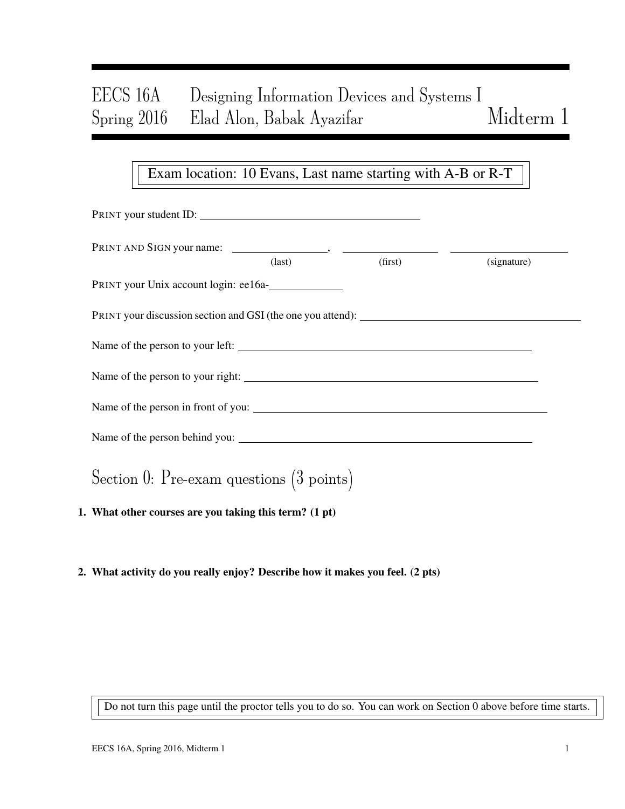# EECS 16A Designing Information Devices and Systems I Spring 2016 Elad Alon, Babak Ayazifar Midterm 1

### Exam location: 10 Evans, Last name starting with A-B or R-T

| PRINT your student ID:                                 |                                 |             |  |
|--------------------------------------------------------|---------------------------------|-------------|--|
|                                                        | $\frac{1}{\text{dist}}$ (first) | (signature) |  |
| PRINT your Unix account login: ee16a-                  |                                 |             |  |
|                                                        |                                 |             |  |
|                                                        |                                 |             |  |
| Name of the person to your right:                      |                                 |             |  |
|                                                        |                                 |             |  |
|                                                        |                                 |             |  |
| Section 0: Pre-exam questions $(3 \text{ points})$     |                                 |             |  |
| 1. What other courses are you taking this term? (1 pt) |                                 |             |  |

2. What activity do you really enjoy? Describe how it makes you feel. (2 pts)

Do not turn this page until the proctor tells you to do so. You can work on Section 0 above before time starts.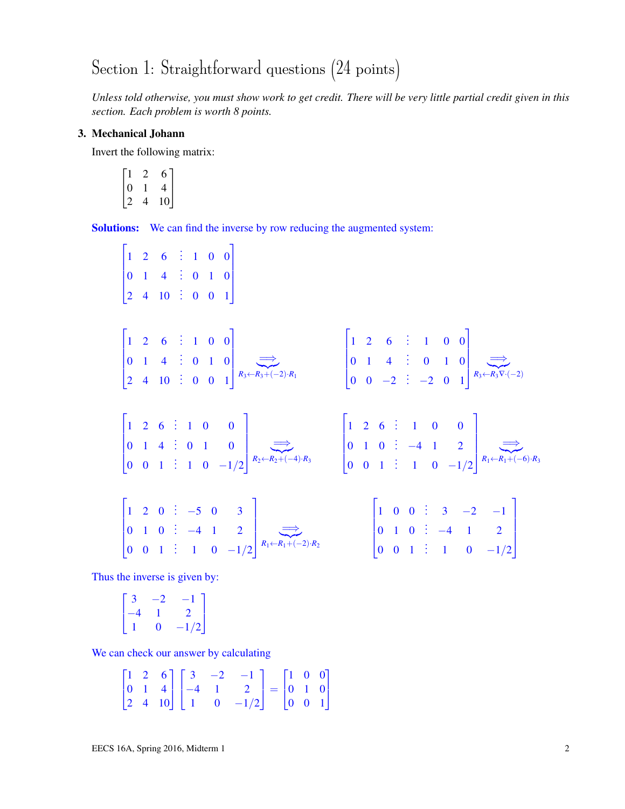# Section 1: Straightforward questions (24 points)

*Unless told otherwise, you must show work to get credit. There will be very little partial credit given in this section. Each problem is worth 8 points.*

### 3. Mechanical Johann

Invert the following matrix:

$$
\begin{bmatrix} 1 & 2 & 6 \\ 0 & 1 & 4 \\ 2 & 4 & 10 \end{bmatrix}
$$

Solutions: We can find the inverse by row reducing the augmented system:

$$
\begin{bmatrix}\n1 & 2 & 6 & \vdots & 1 & 0 & 0 \\
0 & 1 & 4 & \vdots & 0 & 1 & 0 \\
2 & 4 & 10 & \vdots & 0 & 0 & 1\n\end{bmatrix}
$$
\n
$$
\begin{bmatrix}\n1 & 2 & 6 & \vdots & 1 & 0 & 0 \\
0 & 1 & 4 & \vdots & 0 & 1 & 0 \\
2 & 4 & 10 & \vdots & 0 & 0 & 1\n\end{bmatrix}\n\xrightarrow{R_3 \leftarrow R_3 + (-2) \cdot R_1}
$$
\n
$$
\begin{bmatrix}\n1 & 2 & 6 & \vdots & 1 & 0 & 0 \\
0 & 1 & 4 & \vdots & 0 & 1 & 0 \\
0 & 0 & -2 & \vdots & -2 & 0 & 1\n\end{bmatrix}\n\xrightarrow{R_3 \leftarrow R_3 \cdot (2)}\n\begin{bmatrix}\n1 & 2 & 6 & \vdots & 1 & 0 & 0 \\
0 & 1 & 4 & \vdots & 0 & 1 & 0 \\
0 & 0 & 0 & 1 & \vdots & 1 & 0 & -1/2\n\end{bmatrix}\n\xrightarrow{R_2 \leftarrow R_2 + (-4) \cdot R_3}
$$
\n
$$
\begin{bmatrix}\n1 & 2 & 6 & \vdots & 1 & 0 & 0 \\
0 & 1 & 0 & \vdots & -4 & 1 & 2 \\
0 & 0 & 1 & \vdots & 1 & 0 & -1/2\n\end{bmatrix}\n\xrightarrow{R_1 \leftarrow R_1 + (-2) \cdot R_2}
$$
\n
$$
\begin{bmatrix}\n1 & 0 & 0 & \vdots & 3 & -2 & -1 \\
0 & 1 & 0 & \vdots & -4 & 1 & 2 \\
0 & 0 & 1 & \vdots & 1 & 0 & -1/2\n\end{bmatrix}\n\xrightarrow{R_1 \leftarrow R_1 + (-2) \cdot R_2}
$$
\n
$$
\begin{bmatrix}\n1 & 0 & 0 & \vdots & 3 & -2 & -1 \\
0 & 1 & 0 & \vdots & -4 & 1 & 2 \\
0 & 0 & 1 & \vdots & 1 & 0 & -1/2\n\end{bmatrix}
$$

Thus the inverse is given by:

$$
\begin{bmatrix} 3 & -2 & -1 \\ -4 & 1 & 2 \\ 1 & 0 & -1/2 \end{bmatrix}
$$

We can check our answer by calculating

$$
\begin{bmatrix} 1 & 2 & 6 \ 0 & 1 & 4 \ 2 & 4 & 10 \end{bmatrix} \begin{bmatrix} 3 & -2 & -1 \ -4 & 1 & 2 \ 1 & 0 & -1/2 \end{bmatrix} = \begin{bmatrix} 1 & 0 & 0 \ 0 & 1 & 0 \ 0 & 0 & 1 \end{bmatrix}
$$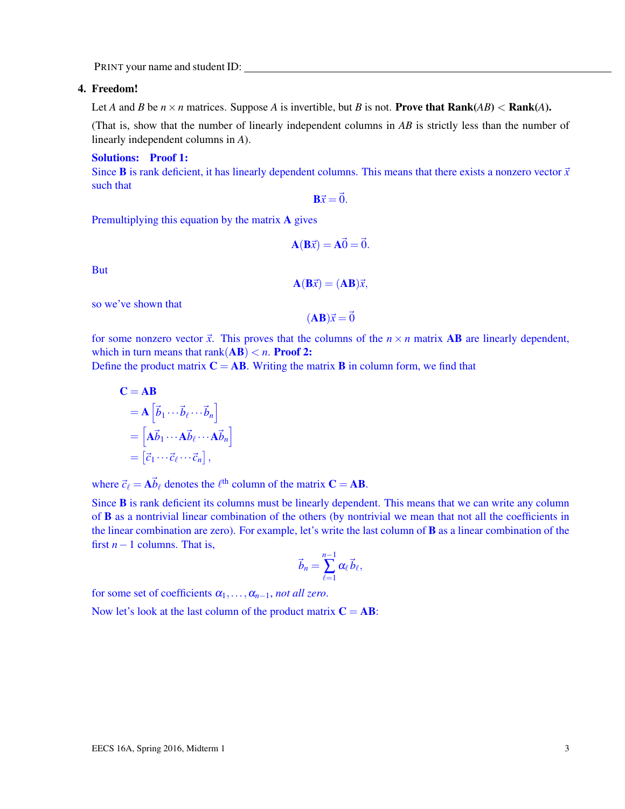### 4. Freedom!

Let *A* and *B* be  $n \times n$  matrices. Suppose *A* is invertible, but *B* is not. **Prove that Rank**(*AB*) < **Rank**(*A*).

(That is, show that the number of linearly independent columns in *AB* is strictly less than the number of linearly independent columns in *A*).

#### Solutions: Proof 1:

Since **B** is rank deficient, it has linearly dependent columns. This means that there exists a nonzero vector  $\vec{x}$ such that

 $\overrightarrow{Bx} = \overrightarrow{0}$ .

Premultiplying this equation by the matrix A gives

$$
\mathbf{A}(\mathbf{B}\vec{x}) = \mathbf{A}\vec{0} = \vec{0}.
$$

But

$$
\mathbf{A}(\mathbf{B}\vec{x}) = (\mathbf{A}\mathbf{B})\vec{x},
$$

so we've shown that

$$
(\mathbf{AB})\vec{x} = \vec{0}
$$

for some nonzero vector  $\vec{x}$ . This proves that the columns of the  $n \times n$  matrix **AB** are linearly dependent, which in turn means that  $rank(AB) < n$ . **Proof 2:** 

Define the product matrix  $C = AB$ . Writing the matrix **B** in column form, we find that

$$
\mathbf{C} = \mathbf{AB}
$$
  
=  $\mathbf{A} \begin{bmatrix} \vec{b}_1 \cdots \vec{b}_\ell \cdots \vec{b}_n \end{bmatrix}$   
=  $\begin{bmatrix} \mathbf{A} \vec{b}_1 \cdots \mathbf{A} \vec{b}_\ell \cdots \mathbf{A} \vec{b}_n \end{bmatrix}$   
=  $\begin{bmatrix} \vec{c}_1 \cdots \vec{c}_\ell \cdots \vec{c}_n \end{bmatrix}$ ,

where  $\vec{c}_{\ell} = \vec{A} \vec{b}_{\ell}$  denotes the  $\ell^{\text{th}}$  column of the matrix  $\mathbf{C} = \mathbf{A} \mathbf{B}$ .

Since **B** is rank deficient its columns must be linearly dependent. This means that we can write any column of B as a nontrivial linear combination of the others (by nontrivial we mean that not all the coefficients in the linear combination are zero). For example, let's write the last column of B as a linear combination of the first *n*−1 columns. That is,

$$
\vec{b}_n = \sum_{\ell=1}^{n-1} \alpha_\ell \vec{b}_\ell,
$$

for some set of coefficients  $\alpha_1, \ldots, \alpha_{n-1}$ , *not all zero*.

Now let's look at the last column of the product matrix  $C = AB$ :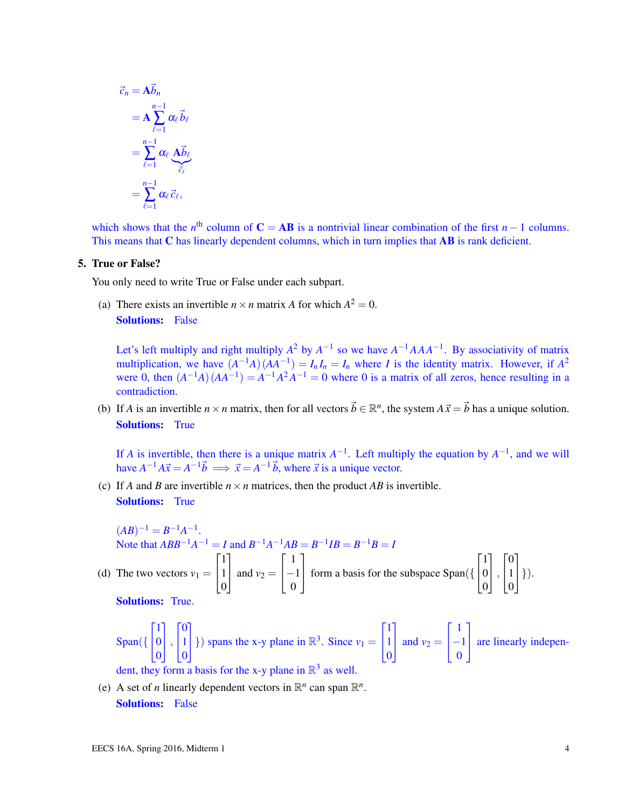$$
\vec{c}_n = \mathbf{A} \vec{b}_n
$$
  
= 
$$
\mathbf{A} \sum_{\ell=1}^{n-1} \alpha_\ell \vec{b}_\ell
$$
  
= 
$$
\sum_{\ell=1}^{n-1} \alpha_\ell \underbrace{\mathbf{A} \vec{b}_\ell}_{\vec{c}_\ell}
$$
  
= 
$$
\sum_{\ell=1}^{n-1} \alpha_\ell \vec{c}_\ell,
$$

which shows that the *n*<sup>th</sup> column of  $C = AB$  is a nontrivial linear combination of the first *n* − 1 columns. This means that C has linearly dependent columns, which in turn implies that AB is rank deficient.

### 5. True or False?

You only need to write True or False under each subpart.

(a) There exists an invertible  $n \times n$  matrix *A* for which  $A^2 = 0$ . **Solutions:** False

Let's left multiply and right multiply  $A^2$  by  $A^{-1}$  so we have  $A^{-1}AAA^{-1}$ . By associativity of matrix multiplication, we have  $(A^{-1}A)(AA^{-1}) = I_nI_n = I_n$  where *I* is the identity matrix. However, if  $A^2$ were 0, then  $(A^{-1}A)(AA^{-1}) = A^{-1}A^2A^{-1} = 0$  where 0 is a matrix of all zeros, hence resulting in a contradiction.

(b) If *A* is an invertible  $n \times n$  matrix, then for all vectors  $\vec{b} \in \mathbb{R}^n$ , the system  $A\vec{x} = \vec{b}$  has a unique solution. Solutions: True

If *A* is invertible, then there is a unique matrix  $A^{-1}$ . Left multiply the equation by  $A^{-1}$ , and we will have  $A^{-1}A\vec{x} = A^{-1}\vec{b} \implies \vec{x} = A^{-1}\vec{b}$ , where  $\vec{x}$  is a unique vector.

(c) If *A* and *B* are invertible  $n \times n$  matrices, then the product *AB* is invertible. **Solutions:** True

 $(AB)^{-1} = B^{-1}A^{-1}.$ Note that  $ABB^{-1}A^{-1} = I$  and  $B^{-1}A^{-1}AB = B^{-1}IB = B^{-1}B = I$ (d) The two vectors  $v_1 =$  $\sqrt{ }$  $\overline{1}$ 1 1  $\boldsymbol{0}$ 1 | and  $v_2$  =  $\lceil$  $\overline{1}$ 1 −1 0 1 form a basis for the subspace Span({  $\sqrt{ }$  $\overline{1}$ 1  $\boldsymbol{0}$  $\boldsymbol{0}$ 1  $\vert$ ,  $\sqrt{ }$  $\overline{1}$  $\overline{0}$ 1  $\boldsymbol{0}$ 1  $\bigg| \bigg. \bigg\}$ ). Solutions: True.

Span(
$$
\begin{bmatrix} 1 \\ 0 \\ 0 \end{bmatrix}
$$
,  $\begin{bmatrix} 0 \\ 1 \\ 0 \end{bmatrix}$ ) spans the x-y plane in  $\mathbb{R}^3$ . Since  $v_1 = \begin{bmatrix} 1 \\ 1 \\ 0 \end{bmatrix}$  and  $v_2 = \begin{bmatrix} 1 \\ -1 \\ 0 \end{bmatrix}$  are linearly independent, they form a basis for the x-y plane in  $\mathbb{R}^3$  as well.

(e) A set of *n* linearly dependent vectors in  $\mathbb{R}^n$  can span  $\mathbb{R}^n$ . Solutions: False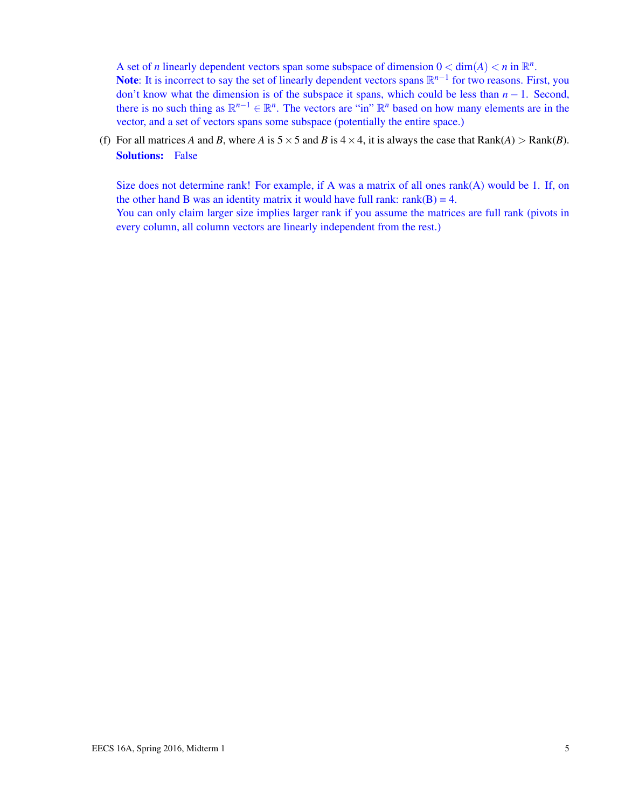A set of *n* linearly dependent vectors span some subspace of dimension  $0 < \dim(A) < n$  in  $\mathbb{R}^n$ .

Note: It is incorrect to say the set of linearly dependent vectors spans  $\mathbb{R}^{n-1}$  for two reasons. First, you don't know what the dimension is of the subspace it spans, which could be less than *n* − 1. Second, there is no such thing as  $\mathbb{R}^{n-1} \in \mathbb{R}^n$ . The vectors are "in"  $\mathbb{R}^n$  based on how many elements are in the vector, and a set of vectors spans some subspace (potentially the entire space.)

(f) For all matrices *A* and *B*, where *A* is  $5 \times 5$  and *B* is  $4 \times 4$ , it is always the case that Rank(*A*) > Rank(*B*). Solutions: False

Size does not determine rank! For example, if A was a matrix of all ones rank(A) would be 1. If, on the other hand B was an identity matrix it would have full rank:  $rank(B) = 4$ . You can only claim larger size implies larger rank if you assume the matrices are full rank (pivots in every column, all column vectors are linearly independent from the rest.)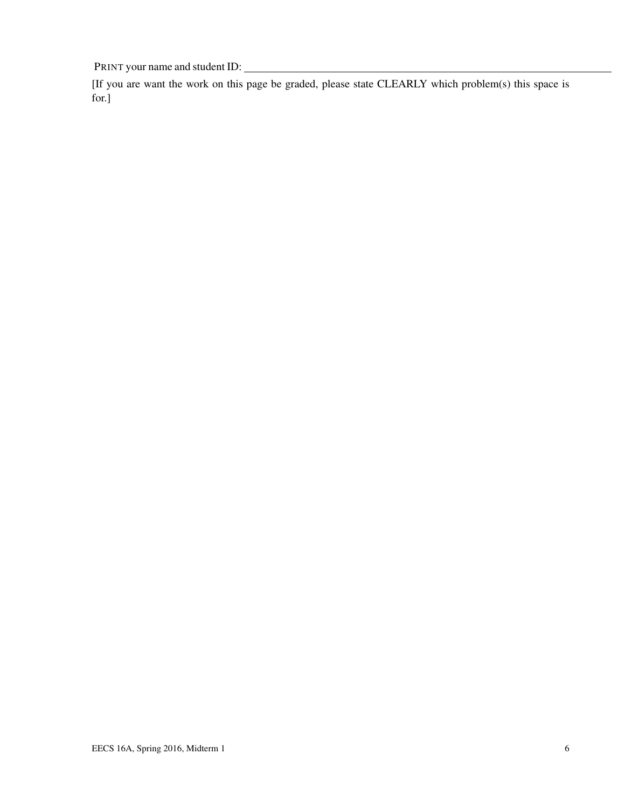[If you are want the work on this page be graded, please state CLEARLY which problem(s) this space is for.]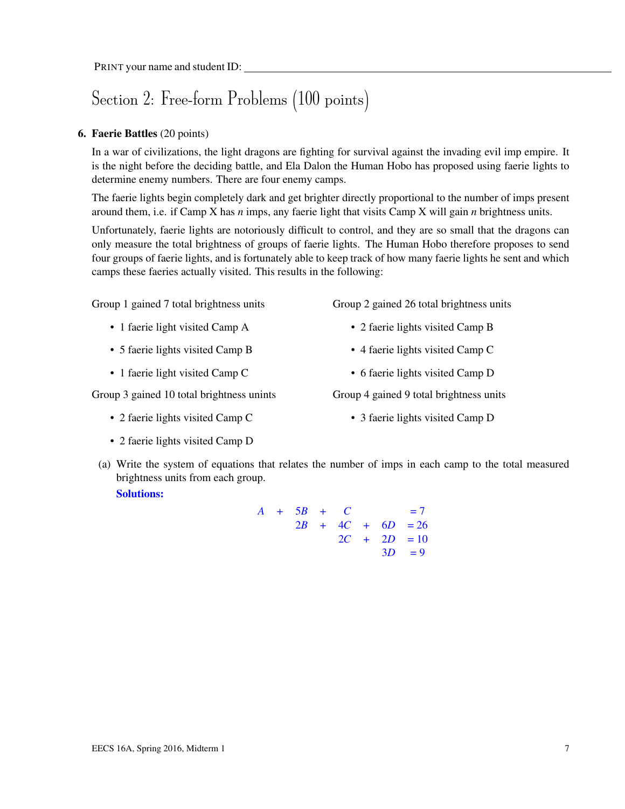## Section 2: Free-form Problems (100 points)

### 6. Faerie Battles (20 points)

In a war of civilizations, the light dragons are fighting for survival against the invading evil imp empire. It is the night before the deciding battle, and Ela Dalon the Human Hobo has proposed using faerie lights to determine enemy numbers. There are four enemy camps.

The faerie lights begin completely dark and get brighter directly proportional to the number of imps present around them, i.e. if Camp X has *n* imps, any faerie light that visits Camp X will gain *n* brightness units.

Unfortunately, faerie lights are notoriously difficult to control, and they are so small that the dragons can only measure the total brightness of groups of faerie lights. The Human Hobo therefore proposes to send four groups of faerie lights, and is fortunately able to keep track of how many faerie lights he sent and which camps these faeries actually visited. This results in the following:

Group 1 gained 7 total brightness units

- 1 faerie light visited Camp A
- 5 faerie lights visited Camp B
- 1 faerie light visited Camp C

Group 3 gained 10 total brightness unints

• 2 faerie lights visited Camp C

• 2 faerie lights visited Camp B

Group 2 gained 26 total brightness units

- 4 faerie lights visited Camp C
- 6 faerie lights visited Camp D

Group 4 gained 9 total brightness units

• 3 faerie lights visited Camp D

- 2 faerie lights visited Camp D
- (a) Write the system of equations that relates the number of imps in each camp to the total measured brightness units from each group. Solutions:

 $A + 5B + C = 7$  $2B + 4C + 6D = 26$  $2C + 2D = 10$  $3D = 9$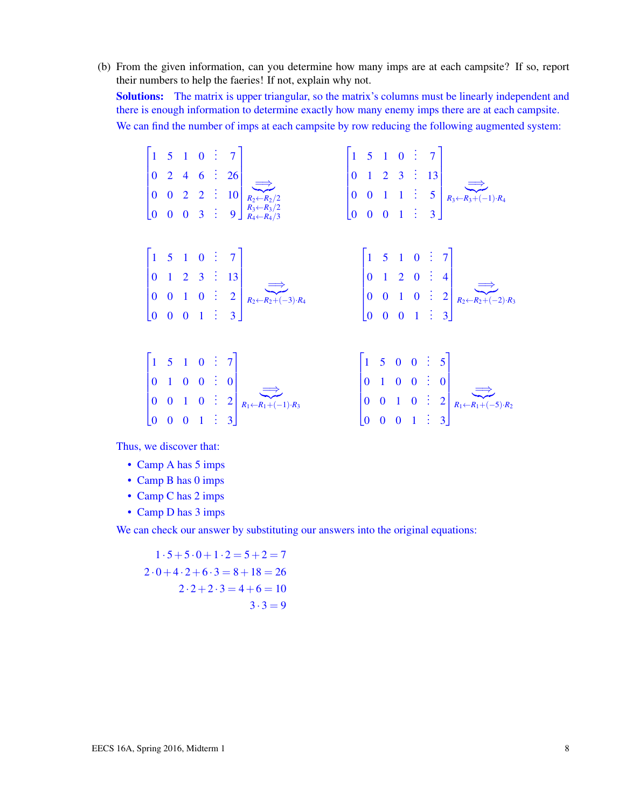(b) From the given information, can you determine how many imps are at each campsite? If so, report their numbers to help the faeries! If not, explain why not. Solutions: The matrix is upper triangular, so the matrix's columns must be linearly independent and there is enough information to determine exactly how many enemy imps there are at each campsite. We can find the number of imps at each campsite by row reducing the following augmented system:

 $\sqrt{ }$   $1 \quad 5 \quad 1 \quad 0 \quad \vdots \quad 7$ .  $0 \quad 2 \quad 4 \quad 6 \quad \vdots \quad 26$  $0 \quad 0 \quad 2 \quad 2 \quad \vdots \quad 10$  $0 \t 0 \t 0 \t 3 \t 9$ 1 |<br>?  $\overrightarrow{R_2\leftarrow R_2/2}$ *R*3←*R*3/2 *R*4←*R*4/3  $\sqrt{ }$   $1 \quad 5 \quad 1 \quad 0 \quad \vdots \quad 7$ .  $0 \quad 1 \quad 2 \quad 3 \quad \vdots \quad 13$  $0 \t 0 \t 1 \t 1 \t 5$  $0 \t 0 \t 0 \t 1 \t 3$ 1  $\overline{R}$  $\overrightarrow{R_3\leftarrow R_3+(-1)\cdot R_4}$  $\sqrt{ }$   $1 \quad 5 \quad 1 \quad 0 \quad \vdots \quad 7$  $0 \quad 1 \quad 2 \quad 3 \quad \vdots \quad 13$  $0 \t 0 \t 1 \t 0 \t 2$  $0 \t 0 \t 0 \t 1 \t 3$ 1 |<br>R- $\overrightarrow{R_2 \leftarrow R_2 + (-3)} \cdot R_4$  $\lceil$   $1 \quad 5 \quad 1 \quad 0 \quad \vdots \quad 7$  $0 \quad 1 \quad 2 \quad 0 \quad \vdots \quad 4$  $0 \t 0 \t 1 \t 0 \t 2$  $0 \t 0 \t 0 \t 1 \t 3$ 1  $\overline{R}$  $\overrightarrow{R_2 \leftarrow R_2 + (-2) \cdot R_3}$  $\begin{bmatrix} 1 & 5 & 1 & 0 & 3 \end{bmatrix}$  $\mathbf{I}$  $\mathbf{I}$ . . 1  $\mathbf{I}$  $\begin{bmatrix} 1 & 5 & 0 & 0 & \vdots & 5 \end{bmatrix}$  $\mathbf{I}$ . . 1  $\mathbf{I}$ 

$$
\begin{bmatrix} 0 & 1 & 0 & 0 & \vdots & 0 \\ 0 & 0 & 1 & 0 & \vdots & 2 \\ 0 & 0 & 0 & 1 & \vdots & 3 \end{bmatrix} \xrightarrow{R_1 \leftarrow R_1 + (-1) \cdot R_3} \begin{bmatrix} 0 & 1 & 0 & 0 & \vdots & 0 \\ 0 & 0 & 1 & 0 & \vdots & 2 \\ 0 & 0 & 0 & 1 & \vdots & 3 \end{bmatrix} \xrightarrow{R_1 \leftarrow R_1 + (-5) \cdot R_2}
$$

Thus, we discover that:

- Camp A has 5 imps
- Camp B has 0 imps
- Camp C has 2 imps
- Camp D has 3 imps

We can check our answer by substituting our answers into the original equations:

 $1 \cdot 5 + 5 \cdot 0 + 1 \cdot 2 = 5 + 2 = 7$  $2 \cdot 0 + 4 \cdot 2 + 6 \cdot 3 = 8 + 18 = 26$  $2 \cdot 2 + 2 \cdot 3 = 4 + 6 = 10$  $3 \cdot 3 = 9$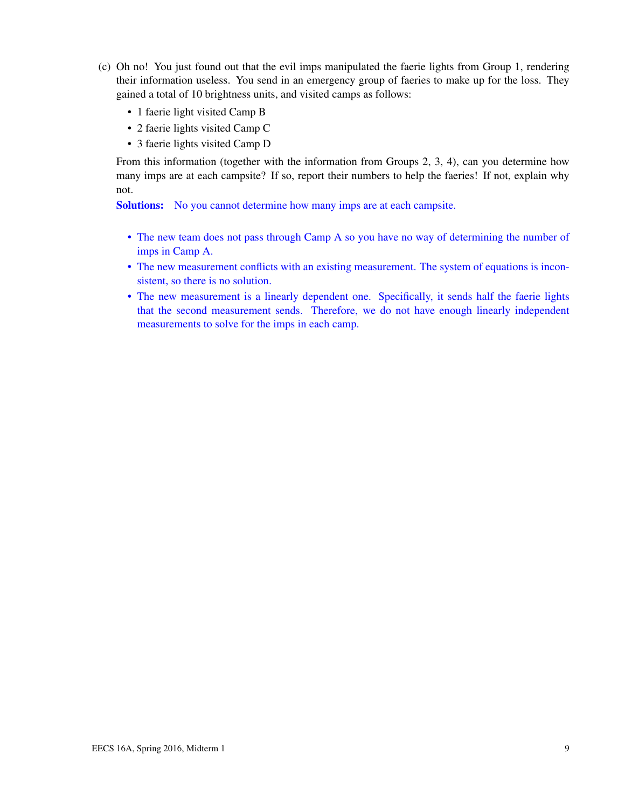- (c) Oh no! You just found out that the evil imps manipulated the faerie lights from Group 1, rendering their information useless. You send in an emergency group of faeries to make up for the loss. They gained a total of 10 brightness units, and visited camps as follows:
	- 1 faerie light visited Camp B
	- 2 faerie lights visited Camp C
	- 3 faerie lights visited Camp D

From this information (together with the information from Groups 2, 3, 4), can you determine how many imps are at each campsite? If so, report their numbers to help the faeries! If not, explain why not.

Solutions: No you cannot determine how many imps are at each campsite.

- The new team does not pass through Camp A so you have no way of determining the number of imps in Camp A.
- The new measurement conflicts with an existing measurement. The system of equations is inconsistent, so there is no solution.
- The new measurement is a linearly dependent one. Specifically, it sends half the faerie lights that the second measurement sends. Therefore, we do not have enough linearly independent measurements to solve for the imps in each camp.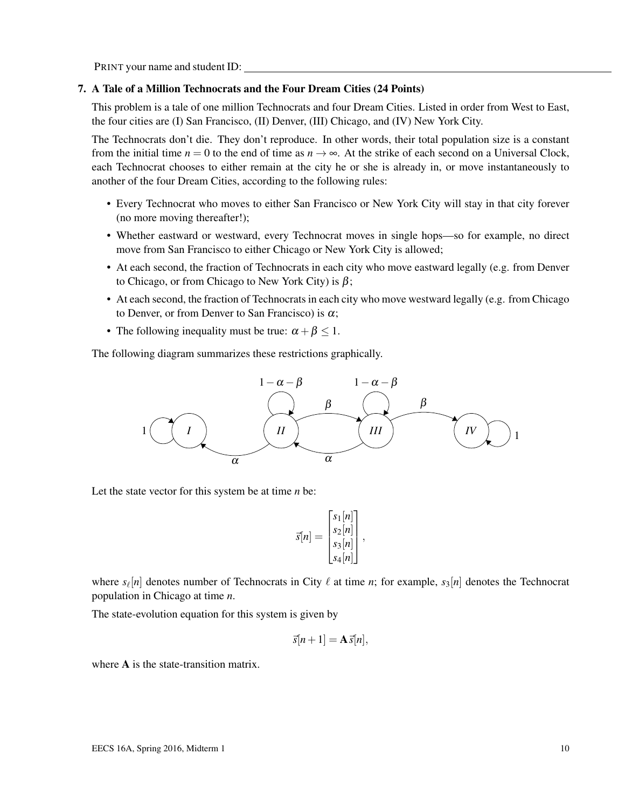### 7. A Tale of a Million Technocrats and the Four Dream Cities (24 Points)

This problem is a tale of one million Technocrats and four Dream Cities. Listed in order from West to East, the four cities are (I) San Francisco, (II) Denver, (III) Chicago, and (IV) New York City.

The Technocrats don't die. They don't reproduce. In other words, their total population size is a constant from the initial time  $n = 0$  to the end of time as  $n \to \infty$ . At the strike of each second on a Universal Clock, each Technocrat chooses to either remain at the city he or she is already in, or move instantaneously to another of the four Dream Cities, according to the following rules:

- Every Technocrat who moves to either San Francisco or New York City will stay in that city forever (no more moving thereafter!);
- Whether eastward or westward, every Technocrat moves in single hops—so for example, no direct move from San Francisco to either Chicago or New York City is allowed;
- At each second, the fraction of Technocrats in each city who move eastward legally (e.g. from Denver to Chicago, or from Chicago to New York City) is  $\beta$ ;
- At each second, the fraction of Technocrats in each city who move westward legally (e.g. from Chicago to Denver, or from Denver to San Francisco) is  $\alpha$ ;
- The following inequality must be true:  $\alpha + \beta \leq 1$ .

The following diagram summarizes these restrictions graphically.



Let the state vector for this system be at time *n* be:

$$
\vec{s}[n] = \begin{bmatrix} s_1[n] \\ s_2[n] \\ s_3[n] \\ s_4[n] \end{bmatrix},
$$

where  $s_{\ell}[n]$  denotes number of Technocrats in City  $\ell$  at time *n*; for example,  $s_3[n]$  denotes the Technocrat population in Chicago at time *n*.

The state-evolution equation for this system is given by

$$
\vec{s}[n+1] = \mathbf{A}\vec{s}[n],
$$

where **A** is the state-transition matrix.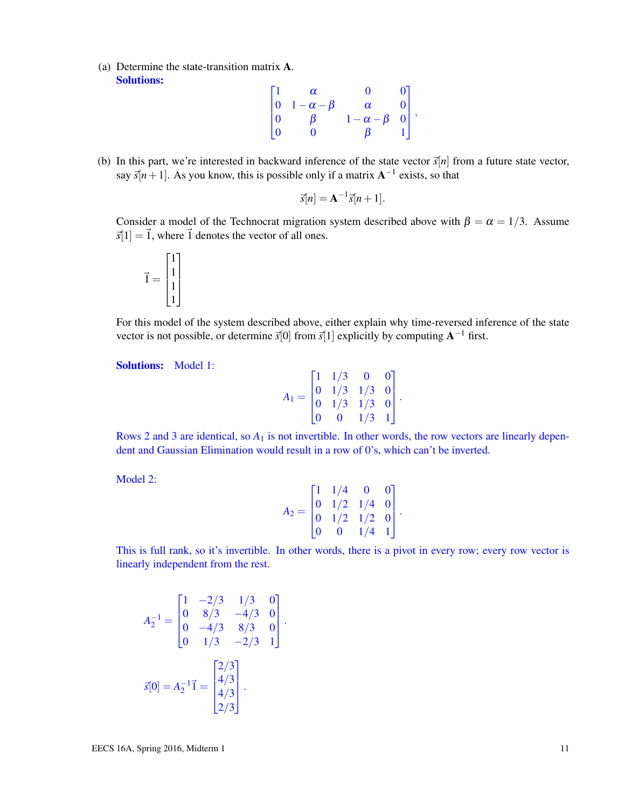(a) Determine the state-transition matrix A. Solutions:

$$
\begin{bmatrix} 1 & \alpha & 0 & 0 \\ 0 & 1 - \alpha - \beta & \alpha & 0 \\ 0 & \beta & 1 - \alpha - \beta & 0 \\ 0 & 0 & \beta & 1 \end{bmatrix},
$$

(b) In this part, we're interested in backward inference of the state vector  $\vec{s}[n]$  from a future state vector, say  $\vec{s}[n+1]$ . As you know, this is possible only if a matrix  $A^{-1}$  exists, so that

$$
\vec{s}[n] = \mathbf{A}^{-1}\vec{s}[n+1].
$$

Consider a model of the Technocrat migration system described above with  $\beta = \alpha = 1/3$ . Assume  $\vec{s}[1] = \vec{1}$ , where  $\vec{1}$  denotes the vector of all ones.



For this model of the system described above, either explain why time-reversed inference of the state vector is not possible, or determine  $\vec{s}[0]$  from  $\vec{s}[1]$  explicitly by computing  $A^{-1}$  first.

Solutions: Model 1:

| $A_1 =$ |                         | $\lceil 1 \ 1/3 \rceil$                                                                   | $\bf{0}$ | 0 |  |
|---------|-------------------------|-------------------------------------------------------------------------------------------|----------|---|--|
|         |                         | $\begin{bmatrix} 1 & 1/3 & 0 & 0 \\ 0 & 1/3 & 1/3 & 0 \\ 0 & 1/3 & 1/3 & 0 \end{bmatrix}$ |          |   |  |
|         |                         |                                                                                           |          |   |  |
|         | $\overline{\mathbf{0}}$ | $\overline{\mathbf{0}}$                                                                   | 1/3      | 1 |  |

Rows 2 and 3 are identical, so  $A_1$  is not invertible. In other words, the row vectors are linearly dependent and Gaussian Elimination would result in a row of 0's, which can't be inverted.

Model 2:

$$
A_2 = \begin{bmatrix} 1 & 1/4 & 0 & 0 \\ 0 & 1/2 & 1/4 & 0 \\ 0 & 1/2 & 1/2 & 0 \\ 0 & 0 & 1/4 & 1 \end{bmatrix}.
$$

This is full rank, so it's invertible. In other words, there is a pivot in every row; every row vector is linearly independent from the rest.

.

$$
A_2^{-1} = \begin{bmatrix} 1 & -2/3 & 1/3 & 0 \\ 0 & 8/3 & -4/3 & 0 \\ 0 & -4/3 & 8/3 & 0 \\ 0 & 1/3 & -2/3 & 1 \end{bmatrix}
$$

$$
\vec{s}[0] = A_2^{-1}\vec{1} = \begin{bmatrix} 2/3 \\ 4/3 \\ 4/3 \\ 2/3 \end{bmatrix}.
$$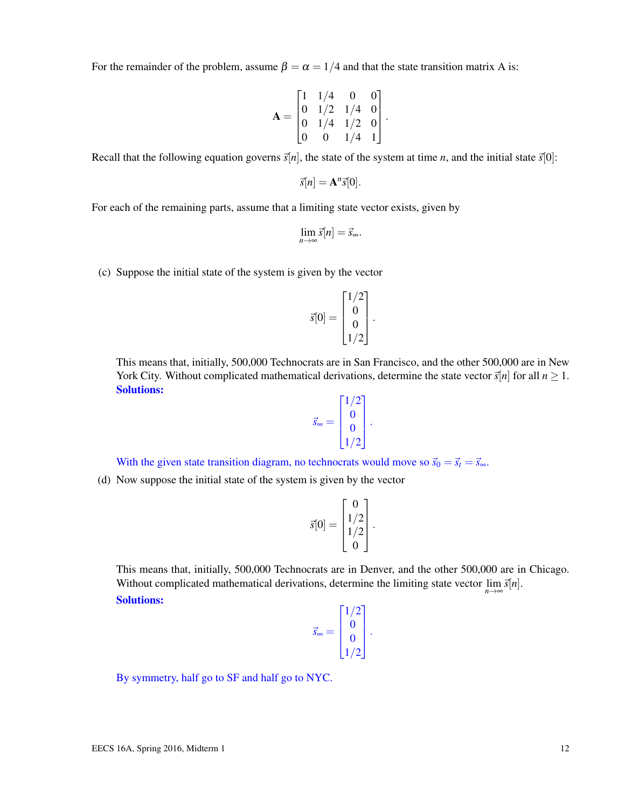For the remainder of the problem, assume  $\beta = \alpha = 1/4$  and that the state transition matrix A is:

$$
\mathbf{A} = \begin{bmatrix} 1 & 1/4 & 0 & 0 \\ 0 & 1/2 & 1/4 & 0 \\ 0 & 1/4 & 1/2 & 0 \\ 0 & 0 & 1/4 & 1 \end{bmatrix}.
$$

Recall that the following equation governs  $\vec{s}[n]$ , the state of the system at time *n*, and the initial state  $\vec{s}[0]$ :

$$
\vec{s}[n] = \mathbf{A}^n \vec{s}[0].
$$

For each of the remaining parts, assume that a limiting state vector exists, given by

$$
\lim_{n\to\infty}\vec{s}[n]=\vec{s}_{\infty}.
$$

(c) Suppose the initial state of the system is given by the vector

$$
\vec{s}[0] = \begin{bmatrix} 1/2 \\ 0 \\ 0 \\ 1/2 \end{bmatrix}.
$$

This means that, initially, 500,000 Technocrats are in San Francisco, and the other 500,000 are in New York City. Without complicated mathematical derivations, determine the state vector  $\vec{s}[n]$  for all  $n \ge 1$ . Solutions:

$$
\vec{s}_{\infty} = \begin{bmatrix} 1/2 \\ 0 \\ 0 \\ 1/2 \end{bmatrix}.
$$

With the given state transition diagram, no technocrats would move so  $\vec{s}_0 = \vec{s}_t = \vec{s}_\infty$ .

(d) Now suppose the initial state of the system is given by the vector

$$
\vec{s}[0] = \begin{bmatrix} 0 \\ 1/2 \\ 1/2 \\ 0 \end{bmatrix}.
$$

This means that, initially, 500,000 Technocrats are in Denver, and the other 500,000 are in Chicago. Without complicated mathematical derivations, determine the limiting state vector  $\lim_{n\to\infty} \vec{s}[n]$ . Solutions:

$$
\vec{s}_{\infty} = \begin{bmatrix} 1/2 \\ 0 \\ 0 \\ 1/2 \end{bmatrix}.
$$

By symmetry, half go to SF and half go to NYC.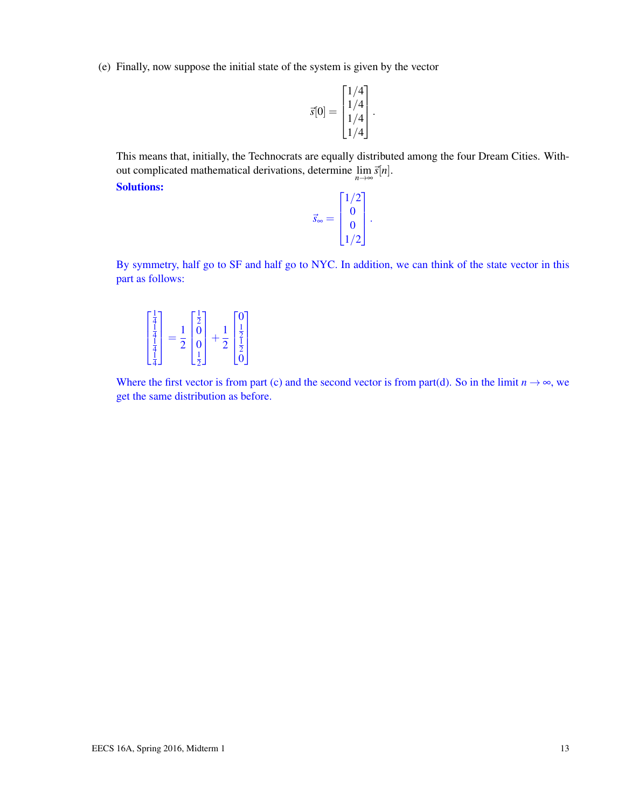(e) Finally, now suppose the initial state of the system is given by the vector

$$
\vec{s}[0] = \begin{bmatrix} 1/4 \\ 1/4 \\ 1/4 \\ 1/4 \end{bmatrix}.
$$

This means that, initially, the Technocrats are equally distributed among the four Dream Cities. Without complicated mathematical derivations, determine  $\lim_{n\to\infty} \vec{s}[n]$ .

Solutions:

$$
\vec{s}_{\infty} = \begin{bmatrix} 1/2 \\ 0 \\ 0 \\ 1/2 \end{bmatrix}.
$$

By symmetry, half go to SF and half go to NYC. In addition, we can think of the state vector in this part as follows:

$$
\begin{bmatrix} \frac{1}{4} \\ \frac{1}{4} \\ \frac{1}{4} \\ \frac{1}{4} \end{bmatrix} = \frac{1}{2} \begin{bmatrix} \frac{1}{2} \\ 0 \\ 0 \\ \frac{1}{2} \end{bmatrix} + \frac{1}{2} \begin{bmatrix} 0 \\ \frac{1}{2} \\ \frac{1}{2} \\ 0 \end{bmatrix}
$$

Where the first vector is from part (c) and the second vector is from part(d). So in the limit  $n \to \infty$ , we get the same distribution as before.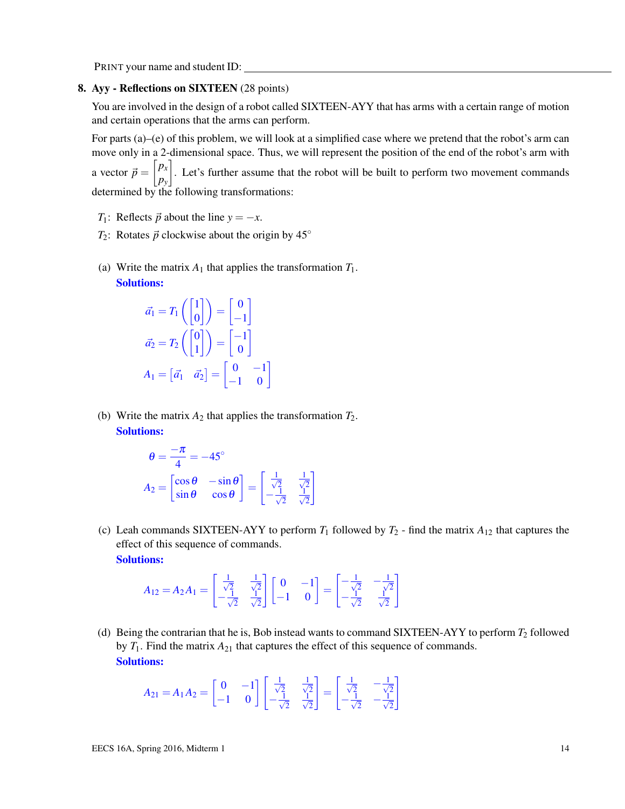### 8. Ayy - Reflections on SIXTEEN (28 points)

You are involved in the design of a robot called SIXTEEN-AYY that has arms with a certain range of motion and certain operations that the arms can perform.

For parts (a)–(e) of this problem, we will look at a simplified case where we pretend that the robot's arm can move only in a 2-dimensional space. Thus, we will represent the position of the end of the robot's arm with a vector  $\vec{p} = \begin{bmatrix} p_x \\ p_y \end{bmatrix}$ *py* . Let's further assume that the robot will be built to perform two movement commands determined by the following transformations:

- *T*<sub>1</sub>: Reflects  $\vec{p}$  about the line  $y = -x$ .
- *T*<sub>2</sub>: Rotates  $\vec{p}$  clockwise about the origin by 45°
- (a) Write the matrix  $A_1$  that applies the transformation  $T_1$ . Solutions:

$$
\vec{a}_1 = T_1 \begin{pmatrix} 1 \\ 0 \end{pmatrix} = \begin{pmatrix} 0 \\ -1 \end{pmatrix}
$$

$$
\vec{a}_2 = T_2 \begin{pmatrix} 0 \\ 1 \end{pmatrix} = \begin{pmatrix} -1 \\ 0 \end{pmatrix}
$$

$$
A_1 = \begin{bmatrix} \vec{a}_1 & \vec{a}_2 \end{bmatrix} = \begin{bmatrix} 0 & -1 \\ -1 & 0 \end{bmatrix}
$$

(b) Write the matrix  $A_2$  that applies the transformation  $T_2$ . Solutions:

$$
\theta = \frac{-\pi}{4} = -45^{\circ}
$$

$$
A_2 = \begin{bmatrix} \cos \theta & -\sin \theta \\ \sin \theta & \cos \theta \end{bmatrix} = \begin{bmatrix} \frac{1}{\sqrt{2}} & \frac{1}{\sqrt{2}} \\ -\frac{1}{\sqrt{2}} & \frac{1}{\sqrt{2}} \end{bmatrix}
$$

(c) Leah commands SIXTEEN-AYY to perform  $T_1$  followed by  $T_2$  - find the matrix  $A_{12}$  that captures the effect of this sequence of commands. Solutions:

$$
A_{12} = A_2 A_1 = \begin{bmatrix} \frac{1}{\sqrt{2}} & \frac{1}{\sqrt{2}} \\ -\frac{1}{\sqrt{2}} & \frac{1}{\sqrt{2}} \end{bmatrix} \begin{bmatrix} 0 & -1 \\ -1 & 0 \end{bmatrix} = \begin{bmatrix} -\frac{1}{\sqrt{2}} & -\frac{1}{\sqrt{2}} \\ -\frac{1}{\sqrt{2}} & \frac{1}{\sqrt{2}} \end{bmatrix}
$$

(d) Being the contrarian that he is, Bob instead wants to command SIXTEEN-AYY to perform *T*<sup>2</sup> followed by  $T_1$ . Find the matrix  $A_{21}$  that captures the effect of this sequence of commands. Solutions:

$$
A_{21} = A_1 A_2 = \begin{bmatrix} 0 & -1 \\ -1 & 0 \end{bmatrix} \begin{bmatrix} \frac{1}{\sqrt{2}} & \frac{1}{\sqrt{2}} \\ -\frac{1}{\sqrt{2}} & \frac{1}{\sqrt{2}} \end{bmatrix} = \begin{bmatrix} \frac{1}{\sqrt{2}} & -\frac{1}{\sqrt{2}} \\ -\frac{1}{\sqrt{2}} & -\frac{1}{\sqrt{2}} \end{bmatrix}
$$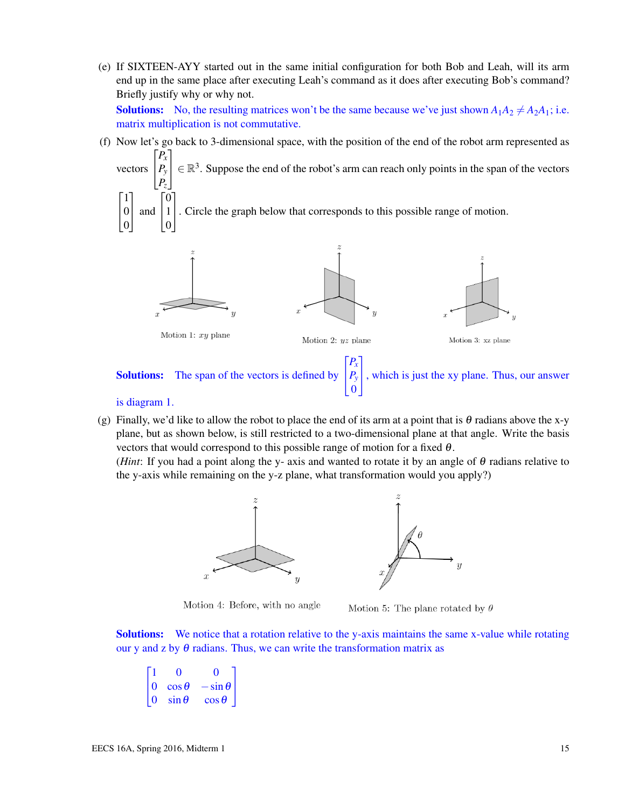(e) If SIXTEEN-AYY started out in the same initial configuration for both Bob and Leah, will its arm end up in the same place after executing Leah's command as it does after executing Bob's command? Briefly justify why or why not.

**Solutions:** No, the resulting matrices won't be the same because we've just shown  $A_1A_2 \neq A_2A_1$ ; i.e. matrix multiplication is not commutative.

(f) Now let's go back to 3-dimensional space, with the position of the end of the robot arm represented as  $\sqrt{ }$ *Px* 1

vectors  $\vert$ *Py Pz*  $\in \mathbb{R}^3$ . Suppose the end of the robot's arm can reach only points in the span of the vectors  $\sqrt{ }$  $\overline{1}$ 1  $\boldsymbol{0}$ 1 | and  $\sqrt{ }$  $\overline{1}$ 0 1 1 . Circle the graph below that corresponds to this possible range of motion.



Solutions: The span of the vectors is defined by  $\overline{1}$ *Py* 0 , which is just the xy plane. Thus, our answer

### is diagram 1.

 $\boldsymbol{0}$ 

0

(g) Finally, we'd like to allow the robot to place the end of its arm at a point that is  $\theta$  radians above the x-y plane, but as shown below, is still restricted to a two-dimensional plane at that angle. Write the basis vectors that would correspond to this possible range of motion for a fixed  $\theta$ .

(*Hint*: If you had a point along the y- axis and wanted to rotate it by an angle of  $\theta$  radians relative to the y-axis while remaining on the y-z plane, what transformation would you apply?)



Motion 4: Before, with no angle



**Solutions:** We notice that a rotation relative to the y-axis maintains the same x-value while rotating our y and z by  $\theta$  radians. Thus, we can write the transformation matrix as

$$
\begin{bmatrix} 1 & 0 & 0 \ 0 & \cos \theta & -\sin \theta \\ 0 & \sin \theta & \cos \theta \end{bmatrix}
$$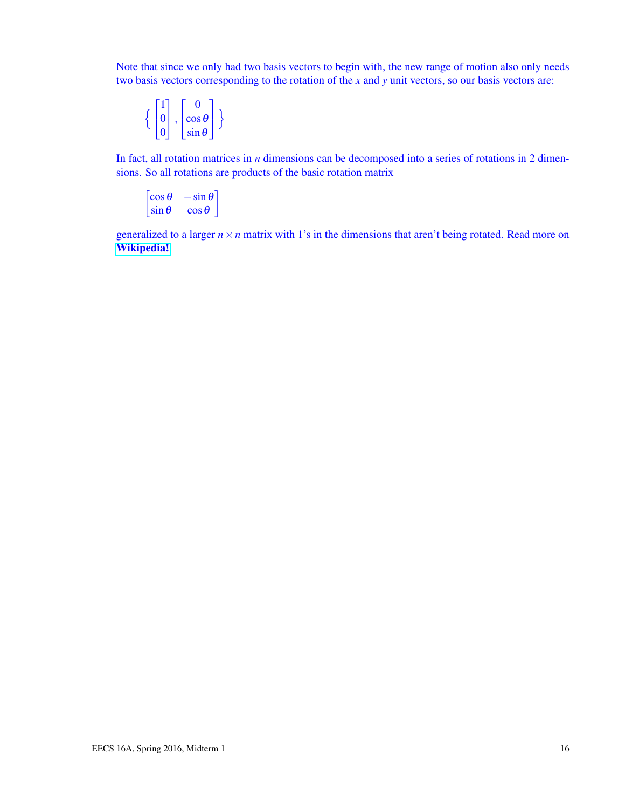Note that since we only had two basis vectors to begin with, the new range of motion also only needs two basis vectors corresponding to the rotation of the *x* and *y* unit vectors, so our basis vectors are:

$$
\left\{ \begin{bmatrix} 1 \\ 0 \\ 0 \end{bmatrix}, \begin{bmatrix} 0 \\ \cos \theta \\ \sin \theta \end{bmatrix} \right\}
$$

In fact, all rotation matrices in *n* dimensions can be decomposed into a series of rotations in 2 dimensions. So all rotations are products of the basic rotation matrix

$$
\begin{bmatrix}\n\cos\theta & -\sin\theta \\
\sin\theta & \cos\theta\n\end{bmatrix}
$$

generalized to a larger  $n \times n$  matrix with 1's in the dimensions that aren't being rotated. Read more on [Wikipedia!](https://en.wikipedia.org/wiki/Rotation_matrix)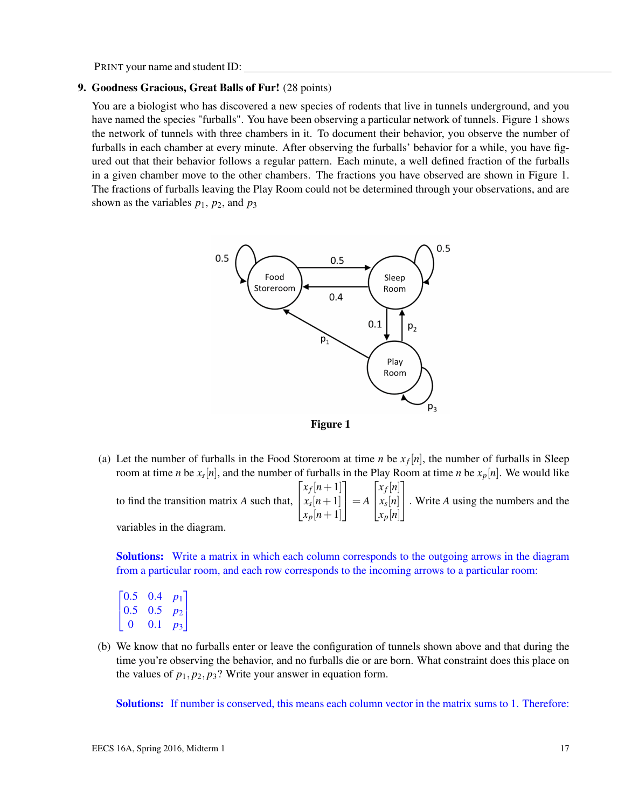### 9. Goodness Gracious, Great Balls of Fur! (28 points)

You are a biologist who has discovered a new species of rodents that live in tunnels underground, and you have named the species "furballs". You have been observing a particular network of tunnels. Figure 1 shows the network of tunnels with three chambers in it. To document their behavior, you observe the number of furballs in each chamber at every minute. After observing the furballs' behavior for a while, you have figured out that their behavior follows a regular pattern. Each minute, a well defined fraction of the furballs in a given chamber move to the other chambers. The fractions you have observed are shown in Figure 1. The fractions of furballs leaving the Play Room could not be determined through your observations, and are shown as the variables  $p_1$ ,  $p_2$ , and  $p_3$ 





(a) Let the number of furballs in the Food Storeroom at time *n* be  $x_f[n]$ , the number of furballs in Sleep room at time *n* be *x<sup>s</sup>* [*n*], and the number of furballs in the Play Room at time *n* be *xp*[*n*]. We would like  $\sqrt{ }$ 1  $\sqrt{ }$ 1

to find the transition matrix *A* such that,  $\overline{1}$  $x_f[n+1]$  $x_s[n+1]$  $x_p[n+1]$  $\Big| = A$  $\overline{1}$ *xf* [*n*] *xs* [*n*] *xp*[*n*] . Write *<sup>A</sup>* using the numbers and the

variables in the diagram.

Solutions: Write a matrix in which each column corresponds to the outgoing arrows in the diagram from a particular room, and each row corresponds to the incoming arrows to a particular room:

$$
\begin{bmatrix} 0.5 & 0.4 & p_1 \\ 0.5 & 0.5 & p_2 \\ 0 & 0.1 & p_3 \end{bmatrix}
$$

(b) We know that no furballs enter or leave the configuration of tunnels shown above and that during the time you're observing the behavior, and no furballs die or are born. What constraint does this place on the values of  $p_1, p_2, p_3$ ? Write your answer in equation form.

Solutions: If number is conserved, this means each column vector in the matrix sums to 1. Therefore: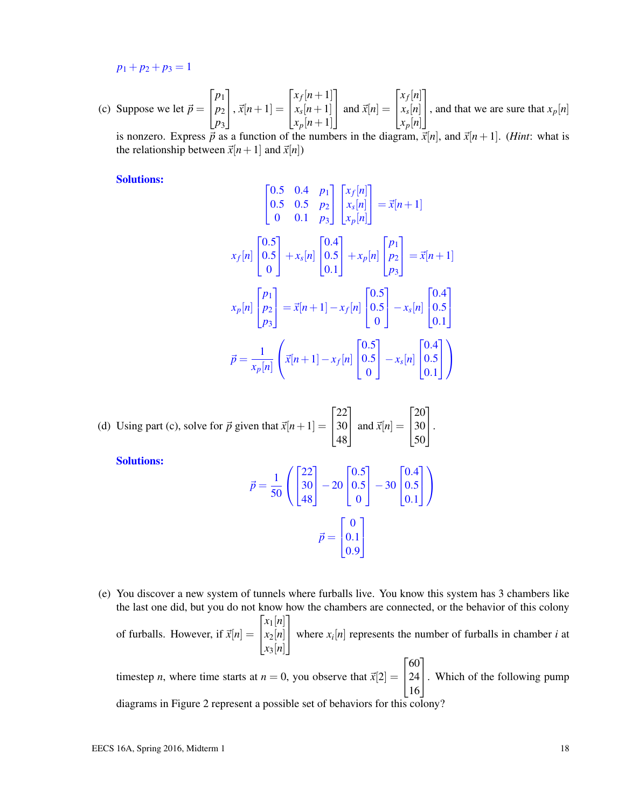$p_1 + p_2 + p_3 = 1$ 

(c) Suppose we let  $\vec{p} =$  $\sqrt{ }$  $\overline{1}$ *p*1 *p*2 *p*3 1  $\Big| , \vec{x}[n+1] =$  $\sqrt{ }$  $\overline{1}$  $x_f[n+1]$  $x_s[n+1]$  $x_p[n+1]$ 1 | and  $\vec{x}[n] =$  $\sqrt{ }$  $\overline{1}$ *xf* [*n*] *xs* [*n*] *xp*[*n*] 1 , and that we are sure that  $x_p[n]$ is nonzero. Express  $\overrightarrow{p}$  as a function of the numbers in the diagram,  $\overrightarrow{x}[n]$ , and  $\overrightarrow{x}[n+1]$ . (*Hint*: what is

the relationship between  $\vec{x}[n+1]$  and  $\vec{x}[n]$ )

Solutions:

$$
\begin{bmatrix}\n0.5 & 0.4 & p_1 \\
0.5 & 0.5 & p_2 \\
0 & 0.1 & p_3\n\end{bmatrix}\n\begin{bmatrix}\nx_f[n] \\
x_s[n] \\
x_p[n]\n\end{bmatrix} = \vec{x}[n+1]
$$
\n
$$
x_f[n] \begin{bmatrix}\n0.5 \\
0.5 \\
0\n\end{bmatrix} + x_s[n] \begin{bmatrix}\n0.4 \\
0.5 \\
0.1\n\end{bmatrix} + x_p[n] \begin{bmatrix}\np_1 \\
p_2 \\
p_3\n\end{bmatrix} = \vec{x}[n+1]
$$
\n
$$
x_p[n] \begin{bmatrix}\np_1 \\
p_2 \\
p_3\n\end{bmatrix} = \vec{x}[n+1] - x_f[n] \begin{bmatrix}\n0.5 \\
0.5 \\
0\n\end{bmatrix} - x_s[n] \begin{bmatrix}\n0.4 \\
0.5 \\
0.1\n\end{bmatrix}
$$
\n
$$
\vec{p} = \frac{1}{x_p[n]} \begin{bmatrix}\n\vec{x}[n+1] - x_f[n] \begin{bmatrix}\n0.5 \\
0.5 \\
0\n\end{bmatrix} - x_s[n] \begin{bmatrix}\n0.4 \\
0.5 \\
0.1\n\end{bmatrix}
$$

(d) Using part (c), solve for 
$$
\vec{p}
$$
 given that  $\vec{x}[n+1] = \begin{bmatrix} 22 \\ 30 \\ 48 \end{bmatrix}$  and  $\vec{x}[n] = \begin{bmatrix} 20 \\ 30 \\ 50 \end{bmatrix}$ .

Solutions:

$$
\vec{p} = \frac{1}{50} \left( \begin{bmatrix} 22 \\ 30 \\ 48 \end{bmatrix} - 20 \begin{bmatrix} 0.5 \\ 0.5 \\ 0 \end{bmatrix} - 30 \begin{bmatrix} 0.4 \\ 0.5 \\ 0.1 \end{bmatrix} \right)
$$

$$
\vec{p} = \begin{bmatrix} 0 \\ 0.1 \\ 0.9 \end{bmatrix}
$$

(e) You discover a new system of tunnels where furballs live. You know this system has 3 chambers like the last one did, but you do not know how the chambers are connected, or the behavior of this colony of furballs. However, if  $\vec{x}[n] =$  $\sqrt{ }$  $\|$ *x*1[*n*] *x*2[*n*] *x*3[*n*] 1 where  $x_i[n]$  represents the number of furballs in chamber *i* at

timestep *n*, where time starts at  $n = 0$ , you observe that  $\vec{x}[2] =$  $\sqrt{ }$  $\overline{1}$ 60 24 16 1 . Which of the following pump diagrams in Figure 2 represent a possible set of behaviors for this colony?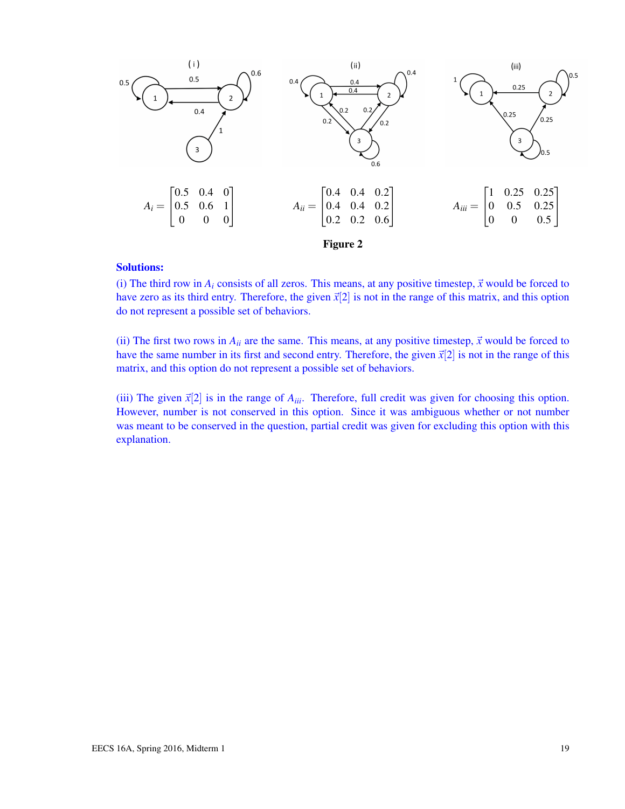

### Solutions:

(i) The third row in  $A_i$  consists of all zeros. This means, at any positive timestep,  $\vec{x}$  would be forced to have zero as its third entry. Therefore, the given  $\vec{x}[2]$  is not in the range of this matrix, and this option do not represent a possible set of behaviors.

(ii) The first two rows in  $A_{ii}$  are the same. This means, at any positive timestep,  $\vec{x}$  would be forced to have the same number in its first and second entry. Therefore, the given  $\vec{x}[2]$  is not in the range of this matrix, and this option do not represent a possible set of behaviors.

(iii) The given  $\vec{x}[2]$  is in the range of  $A_{iii}$ . Therefore, full credit was given for choosing this option. However, number is not conserved in this option. Since it was ambiguous whether or not number was meant to be conserved in the question, partial credit was given for excluding this option with this explanation.